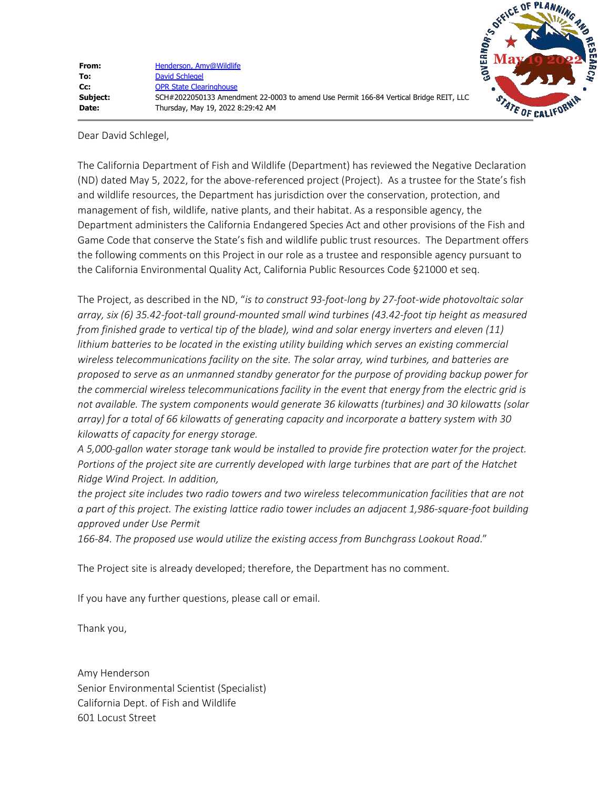Dear David Schlegel,

The California Department of Fish and Wildlife (Department) has reviewed the Negative Declaration (ND) dated May 5, 2022, for the above-referenced project (Project). As a trustee for the State's fish and wildlife resources, the Department has jurisdiction over the conservation, protection, and management of fish, wildlife, native plants, and their habitat. As a responsible agency, the Department administers the California Endangered Species Act and other provisions of the Fish and Game Code that conserve the State's fish and wildlife public trust resources. The Department offers the following comments on this Project in our role as a trustee and responsible agency pursuant to the California Environmental Quality Act, California Public Resources Code §21000 et seq.

The Project, as described in the ND, "*is to construct 93-foot-long by 27-foot-wide photovoltaic solar array, six (6) 35.42-foot-tall ground-mounted small wind turbines (43.42-foot tip height as measured from finished grade to vertical tip of the blade), wind and solar energy inverters and eleven (11) lithium batteries to be located in the existing utility building which serves an existing commercial wireless telecommunications facility on the site. The solar array, wind turbines, and batteries are proposed to serve as an unmanned standby generator for the purpose of providing backup power for the commercial wireless telecommunications facility in the event that energy from the electric grid is not available. The system components would generate 36 kilowatts (turbines) and 30 kilowatts (solar array) for a total of 66 kilowatts of generating capacity and incorporate a battery system with 30 kilowatts of capacity for energy storage.*

*A 5,000-gallon water storage tank would be installed to provide fire protection water for the project. Portions of the project site are currently developed with large turbines that are part of the Hatchet Ridge Wind Project. In addition,*

*the project site includes two radio towers and two wireless telecommunication facilities that are not a part of this project. The existing lattice radio tower includes an adjacent 1,986-square-foot building approved under Use Permit*

*166-84. The proposed use would utilize the existing access from Bunchgrass Lookout Road*."

The Project site is already developed; therefore, the Department has no comment.

If you have any further questions, please call or email.

Thank you,

Amy Henderson Senior Environmental Scientist (Specialist) California Dept. of Fish and Wildlife 601 Locust Street